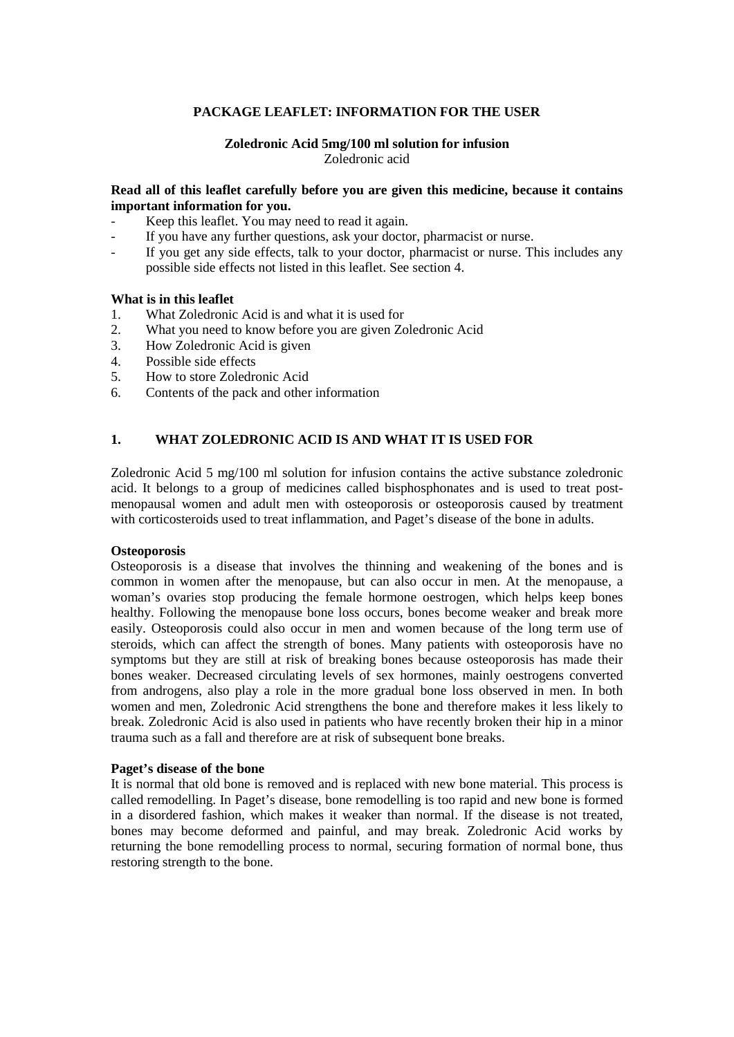## **PACKAGE LEAFLET: INFORMATION FOR THE USER**

## **Zoledronic Acid 5mg/100 ml solution for infusion** Zoledronic acid

#### **Read all of this leaflet carefully before you are given this medicine, because it contains important information for you.**

- Keep this leaflet. You may need to read it again.
- If you have any further questions, ask your doctor, pharmacist or nurse.
- If you get any side effects, talk to your doctor, pharmacist or nurse. This includes any possible side effects not listed in this leaflet. See section 4.

#### **What is in this leaflet**

- 1. What Zoledronic Acid is and what it is used for
- 2. What you need to know before you are given Zoledronic Acid
- 3. How Zoledronic Acid is given
- 4. Possible side effects
- 5. How to store Zoledronic Acid
- 6. Contents of the pack and other information

## **1. WHAT ZOLEDRONIC ACID IS AND WHAT IT IS USED FOR**

Zoledronic Acid 5 mg/100 ml solution for infusion contains the active substance zoledronic acid. It belongs to a group of medicines called bisphosphonates and is used to treat postmenopausal women and adult men with osteoporosis or osteoporosis caused by treatment with corticosteroids used to treat inflammation, and Paget's disease of the bone in adults.

#### **Osteoporosis**

Osteoporosis is a disease that involves the thinning and weakening of the bones and is common in women after the menopause, but can also occur in men. At the menopause, a woman's ovaries stop producing the female hormone oestrogen, which helps keep bones healthy. Following the menopause bone loss occurs, bones become weaker and break more easily. Osteoporosis could also occur in men and women because of the long term use of steroids, which can affect the strength of bones. Many patients with osteoporosis have no symptoms but they are still at risk of breaking bones because osteoporosis has made their bones weaker. Decreased circulating levels of sex hormones, mainly oestrogens converted from androgens, also play a role in the more gradual bone loss observed in men. In both women and men, Zoledronic Acid strengthens the bone and therefore makes it less likely to break. Zoledronic Acid is also used in patients who have recently broken their hip in a minor trauma such as a fall and therefore are at risk of subsequent bone breaks.

#### **Paget's disease of the bone**

<span id="page-0-0"></span>It is normal that old bone is removed and is replaced with new bone material. This process is called remodelling. In Paget's disease, bone remodelling is too rapid and new bone is formed in a disordered fashion, which makes it weaker than normal. If the disease is not treated, bones may become deformed and painful, and may break. Zoledronic Acid works by returning the bone remodelling process to normal, securing formation of normal bone, thus restoring strength to the bone.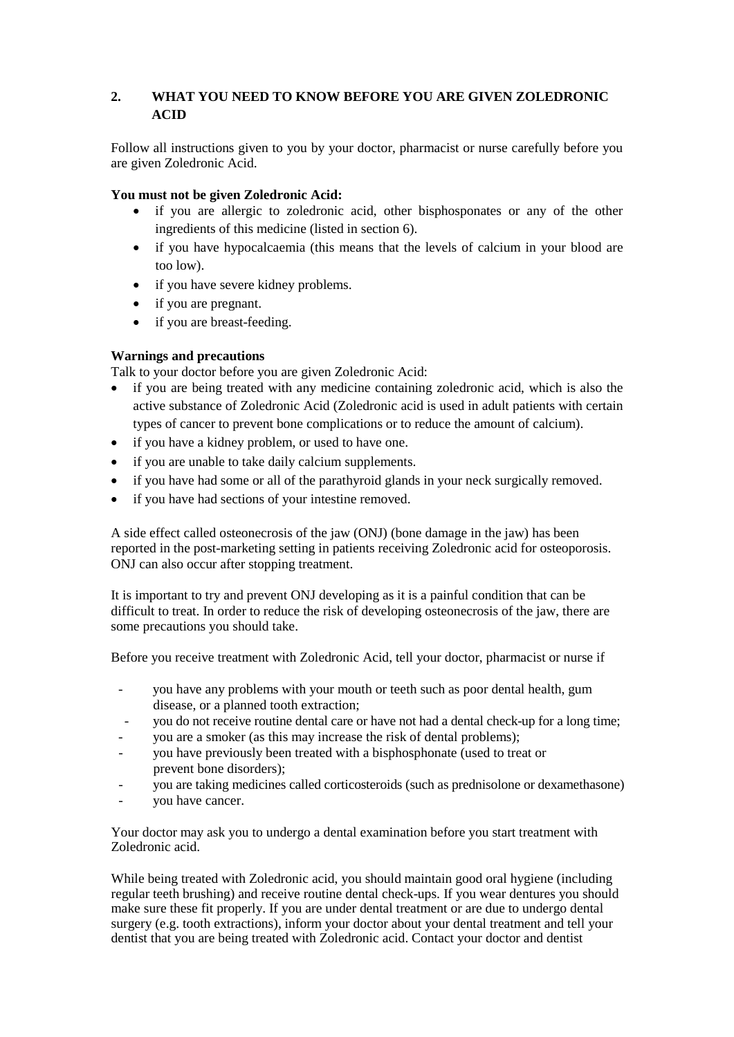# **2. WHAT YOU NEED TO KNOW BEFORE YOU ARE GIVEN ZOLEDRONIC ACID**

Follow all instructions given to you by your doctor, pharmacist or nurse carefully before you are given Zoledronic Acid.

## **You must not be given Zoledronic Acid:**

- if you are allergic to zoledronic acid, other bisphosponates or any of the other ingredients of this medicine (listed in section 6).
- if you have hypocalcaemia (this means that the levels of calcium in your blood are too low).
- if you have severe kidney problems.
- if you are pregnant.
- if you are breast-feeding.

# **Warnings and precautions**

Talk to your doctor before you are given Zoledronic Acid:

- if you are being treated with any medicine containing zoledronic acid, which is also the active substance of Zoledronic Acid (Zoledronic acid is used in adult patients with certain types of cancer to prevent bone complications or to reduce the amount of calcium).
- if you have a kidney problem, or used to have one.
- if you are unable to take daily calcium supplements.
- if you have had some or all of the parathyroid glands in your neck surgically removed.
- if you have had sections of your intestine removed.

A side effect called osteonecrosis of the jaw (ONJ) (bone damage in the jaw) has been reported in the post-marketing setting in patients receiving Zoledronic acid for osteoporosis. ONJ can also occur after stopping treatment.

It is important to try and prevent ONJ developing as it is a painful condition that can be difficult to treat. In order to reduce the risk of developing osteonecrosis of the jaw, there are some precautions you should take.

Before you receive treatment with Zoledronic Acid, tell your doctor, pharmacist or nurse if

- you have any problems with your mouth or teeth such as poor dental health, gum disease, or a planned tooth extraction;
- you do not receive routine dental care or have not had a dental check-up for a long time;
- you are a smoker (as this may increase the risk of dental problems);
- you have previously been treated with a bisphosphonate (used to treat or prevent bone disorders);
- you are taking medicines called corticosteroids (such as prednisolone or dexamethasone)
- you have cancer.

Your doctor may ask you to undergo a dental examination before you start treatment with Zoledronic acid.

While being treated with Zoledronic acid, you should maintain good oral hygiene (including regular teeth brushing) and receive routine dental check-ups. If you wear dentures you should make sure these fit properly. If you are under dental treatment or are due to undergo dental surgery (e.g. tooth extractions), inform your doctor about your dental treatment and tell your dentist that you are being treated with Zoledronic acid. Contact your doctor and dentist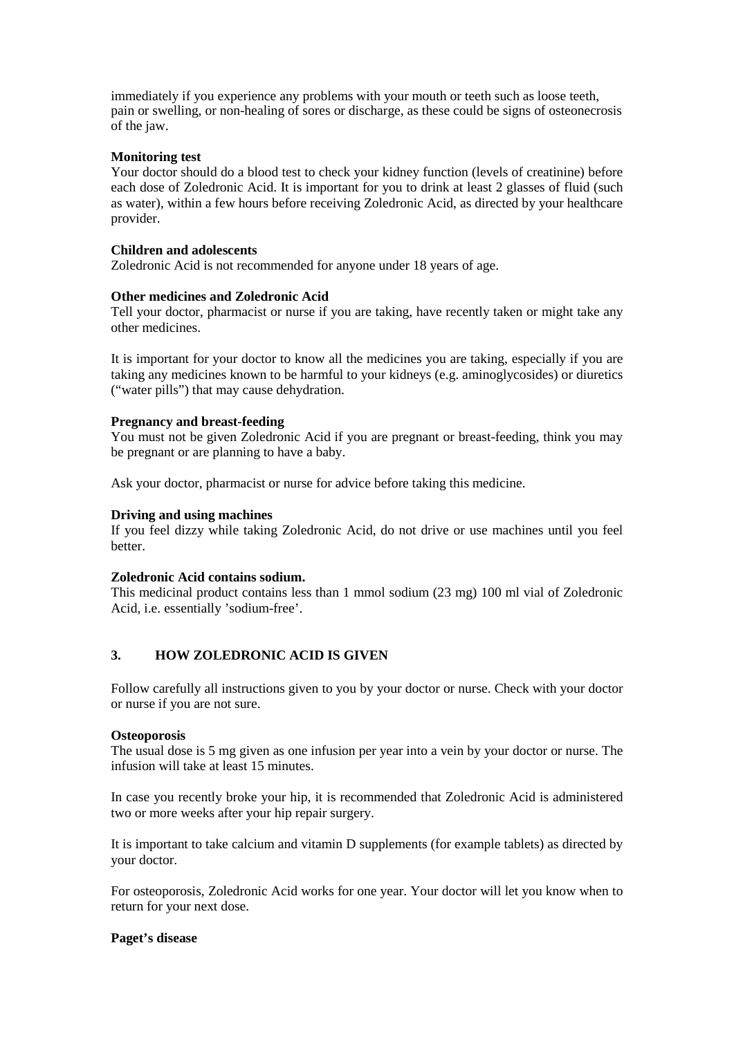immediately if you experience any problems with your mouth or teeth such as loose teeth, pain or swelling, or non-healing of sores or discharge, as these could be signs of osteonecrosis of the jaw.

#### **Monitoring test**

Your doctor should do a blood test to check your kidney function (levels of creatinine) before each dose of Zoledronic Acid. It is important for you to drink at least 2 glasses of fluid (such as water), within a few hours before receiving Zoledronic Acid, as directed by your healthcare provider.

#### **Children and adolescents**

Zoledronic Acid is not recommended for anyone under 18 years of age.

#### **Other medicines and Zoledronic Acid**

Tell your doctor, pharmacist or nurse if you are taking, have recently taken or might take any other medicines.

It is important for your doctor to know all the medicines you are taking, especially if you are taking any medicines known to be harmful to your kidneys (e.g. aminoglycosides) or diuretics ("water pills") that may cause dehydration.

#### **Pregnancy and breast-feeding**

You must not be given Zoledronic Acid if you are pregnant or breast-feeding, think you may be pregnant or are planning to have a baby.

Ask your doctor, pharmacist or nurse for advice before taking this medicine.

#### **Driving and using machines**

If you feel dizzy while taking Zoledronic Acid, do not drive or use machines until you feel better.

#### **Zoledronic Acid contains sodium.**

This medicinal product contains less than 1 mmol sodium (23 mg) 100 ml vial of Zoledronic Acid, i.e. essentially 'sodium-free'.

## **3. HOW ZOLEDRONIC ACID IS GIVEN**

Follow carefully all instructions given to you by your doctor or nurse. Check with your doctor or nurse if you are not sure.

#### **Osteoporosis**

The usual dose is 5 mg given as one infusion per year into a vein by your doctor or nurse. The infusion will take at least 15 minutes.

In case you recently broke your hip, it is recommended that Zoledronic Acid is administered two or more weeks after your hip repair surgery.

It is important to take calcium and vitamin D supplements (for example tablets) as directed by your doctor.

For osteoporosis, Zoledronic Acid works for one year. Your doctor will let you know when to return for your next dose.

## **Paget's disease**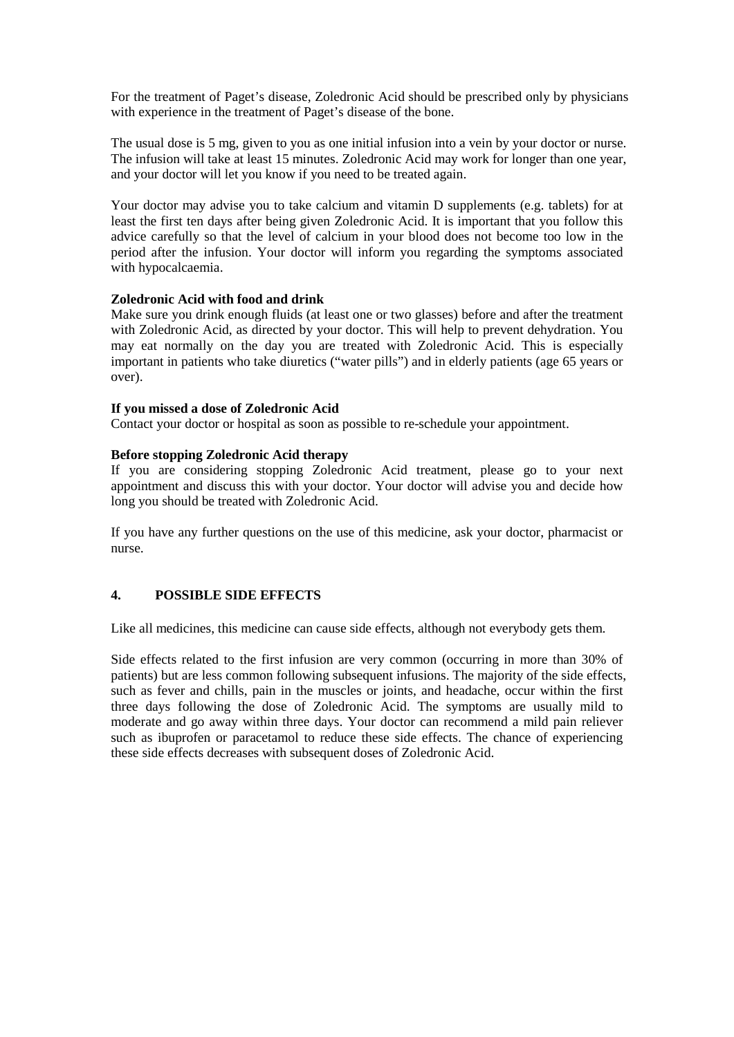For the treatment of Paget's disease, Zoledronic Acid should be prescribed only by physicians with experience in the treatment of Paget's disease of the bone.

The usual dose is 5 mg, given to you as one initial infusion into a vein by your doctor or nurse. The infusion will take at least 15 minutes. Zoledronic Acid may work for longer than one year, and your doctor will let you know if you need to be treated again.

Your doctor may advise you to take calcium and vitamin D supplements (e.g. tablets) for at least the first ten days after being given Zoledronic Acid. It is important that you follow this advice carefully so that the level of calcium in your blood does not become too low in the period after the infusion. Your doctor will inform you regarding the symptoms associated with hypocalcaemia.

## **Zoledronic Acid with food and drink**

Make sure you drink enough fluids (at least one or two glasses) before and after the treatment with Zoledronic Acid, as directed by your doctor. This will help to prevent dehydration. You may eat normally on the day you are treated with Zoledronic Acid. This is especially important in patients who take diuretics ("water pills") and in elderly patients (age 65 years or over).

## **If you missed a dose of Zoledronic Acid**

Contact your doctor or hospital as soon as possible to re-schedule your appointment.

## **Before stopping Zoledronic Acid therapy**

If you are considering stopping Zoledronic Acid treatment, please go to your next appointment and discuss this with your doctor. Your doctor will advise you and decide how long you should be treated with Zoledronic Acid.

If you have any further questions on the use of this medicine, ask your doctor, pharmacist or nurse.

# **4. POSSIBLE SIDE EFFECTS**

Like all medicines, this medicine can cause side effects, although not everybody gets them.

Side effects related to the first infusion are very common (occurring in more than 30% of patients) but are less common following subsequent infusions. The majority of the side effects, such as fever and chills, pain in the muscles or joints, and headache, occur within the first three days following the dose of Zoledronic Acid. The symptoms are usually mild to moderate and go away within three days. Your doctor can recommend a mild pain reliever such as ibuprofen or paracetamol to reduce these side effects. The chance of experiencing these side effects decreases with subsequent doses of Zoledronic Acid.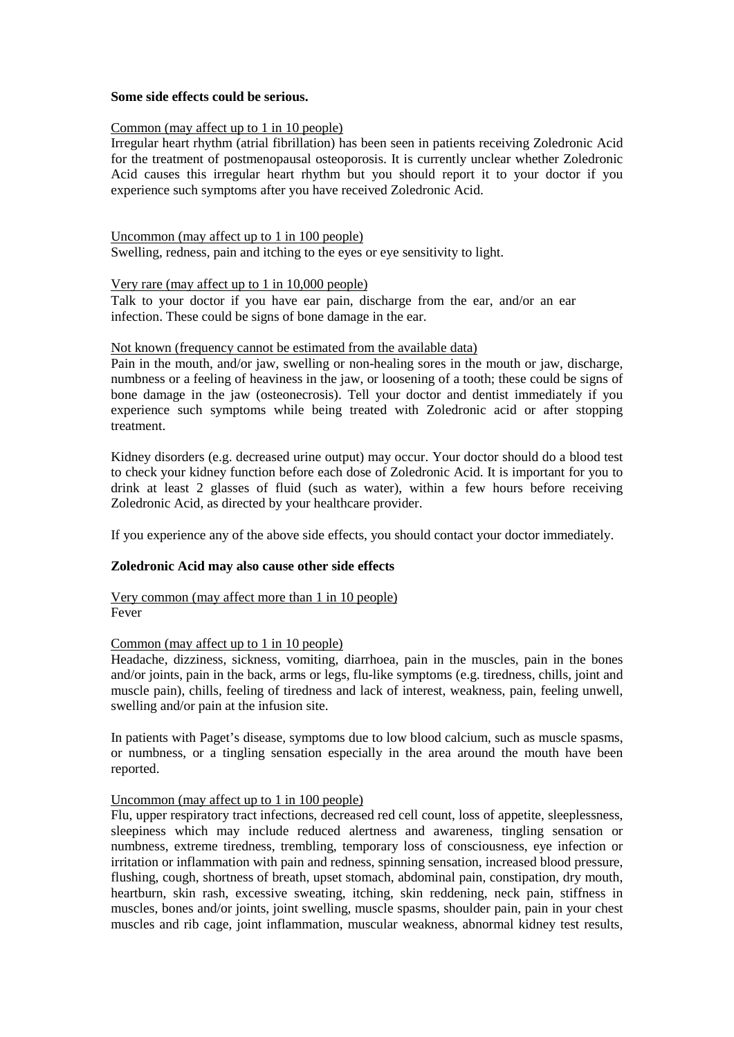#### **Some side effects could be serious.**

#### Common (may affect up to 1 in 10 people)

Irregular heart rhythm (atrial fibrillation) has been seen in patients receiving Zoledronic Acid for the treatment of postmenopausal osteoporosis. It is currently unclear whether Zoledronic Acid causes this irregular heart rhythm but you should report it to your doctor if you experience such symptoms after you have received Zoledronic Acid.

Uncommon (may affect up to 1 in 100 people)

Swelling, redness, pain and itching to the eyes or eye sensitivity to light.

## Very rare (may affect up to 1 in 10,000 people)

Talk to your doctor if you have ear pain, discharge from the ear, and/or an ear infection. These could be signs of bone damage in the ear.

#### Not known (frequency cannot be estimated from the available data)

Pain in the mouth, and/or jaw, swelling or non-healing sores in the mouth or jaw, discharge, numbness or a feeling of heaviness in the jaw, or loosening of a tooth; these could be signs of bone damage in the jaw (osteonecrosis). Tell your doctor and dentist immediately if you experience such symptoms while being treated with Zoledronic acid or after stopping treatment.

Kidney disorders (e.g. decreased urine output) may occur. Your doctor should do a blood test to check your kidney function before each dose of Zoledronic Acid. It is important for you to drink at least 2 glasses of fluid (such as water), within a few hours before receiving Zoledronic Acid, as directed by your healthcare provider.

If you experience any of the above side effects, you should contact your doctor immediately.

## **Zoledronic Acid may also cause other side effects**

Very common (may affect more than 1 in 10 people) Fever

## Common (may affect up to 1 in 10 people)

Headache, dizziness, sickness, vomiting, diarrhoea, pain in the muscles, pain in the bones and/or joints, pain in the back, arms or legs, flu-like symptoms (e.g. tiredness, chills, joint and muscle pain), chills, feeling of tiredness and lack of interest, weakness, pain, feeling unwell, swelling and/or pain at the infusion site.

In patients with Paget's disease, symptoms due to low blood calcium, such as muscle spasms, or numbness, or a tingling sensation especially in the area around the mouth have been reported.

## Uncommon (may affect up to 1 in 100 people)

Flu, upper respiratory tract infections, decreased red cell count, loss of appetite, sleeplessness, sleepiness which may include reduced alertness and awareness, tingling sensation or numbness, extreme tiredness, trembling, temporary loss of consciousness, eye infection or irritation or inflammation with pain and redness, spinning sensation, increased blood pressure, flushing, cough, shortness of breath, upset stomach, abdominal pain, constipation, dry mouth, heartburn, skin rash, excessive sweating, itching, skin reddening, neck pain, stiffness in muscles, bones and/or joints, joint swelling, muscle spasms, shoulder pain, pain in your chest muscles and rib cage, joint inflammation, muscular weakness, abnormal kidney test results,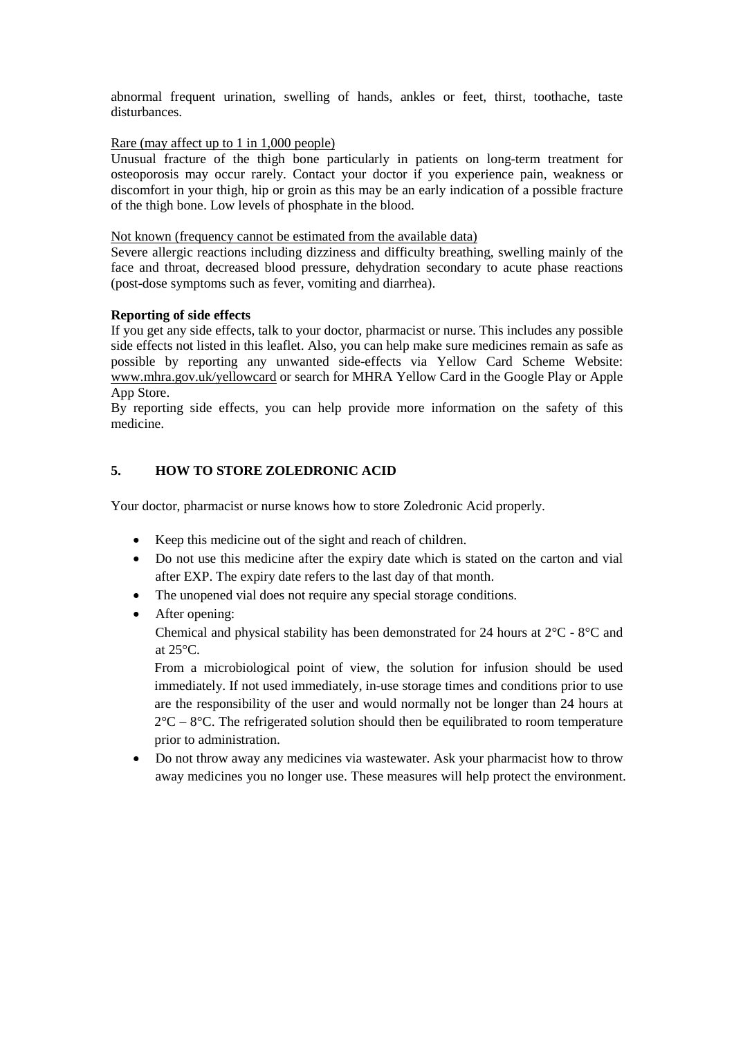abnormal frequent urination, swelling of hands, ankles or feet, thirst, toothache, taste disturbances.

#### Rare (may affect up to 1 in 1,000 people)

Unusual fracture of the thigh bone particularly in patients on long-term treatment for osteoporosis may occur rarely. Contact your doctor if you experience pain, weakness or discomfort in your thigh, hip or groin as this may be an early indication of a possible fracture of the thigh bone. Low levels of phosphate in the blood.

## Not known (frequency cannot be estimated from the available data)

Severe allergic reactions including dizziness and difficulty breathing, swelling mainly of the face and throat, decreased blood pressure, dehydration secondary to acute phase reactions (post-dose symptoms such as fever, vomiting and diarrhea).

## **Reporting of side effects**

If you get any side effects, talk to your doctor, pharmacist or nurse. This includes any possible side effects not listed in this leaflet. Also, you can help make sure medicines remain as safe as possible by reporting any unwanted side-effects via Yellow Card Scheme Website: [www.mhra.gov.uk/yellowcard](http://www.mhra.gov.uk/yellowcard) or search for MHRA Yellow Card in the Google Play or Apple App Store.

By reporting side effects, you can help provide more information on the safety of this medicine.

## **5. HOW TO STORE ZOLEDRONIC ACID**

Your doctor, pharmacist or nurse knows how to store Zoledronic Acid properly.

- Keep this medicine out of the sight and reach of children.
- Do not use this medicine after the expiry date which is stated on the carton and vial after EXP. The expiry date refers to the last day of that month.
- The unopened vial does not require any special storage conditions.
- After opening:

Chemical and physical stability has been demonstrated for 24 hours at  $2^{\circ}C - 8^{\circ}C$  and at 25°C.

From a microbiological point of view, the solution for infusion should be used immediately. If not used immediately, in-use storage times and conditions prior to use are the responsibility of the user and would normally not be longer than 24 hours at  $2^{\circ}$ C –  $8^{\circ}$ C. The refrigerated solution should then be equilibrated to room temperature prior to administration.

• Do not throw away any medicines via wastewater. Ask your pharmacist how to throw away medicines you no longer use. These measures will help protect the environment.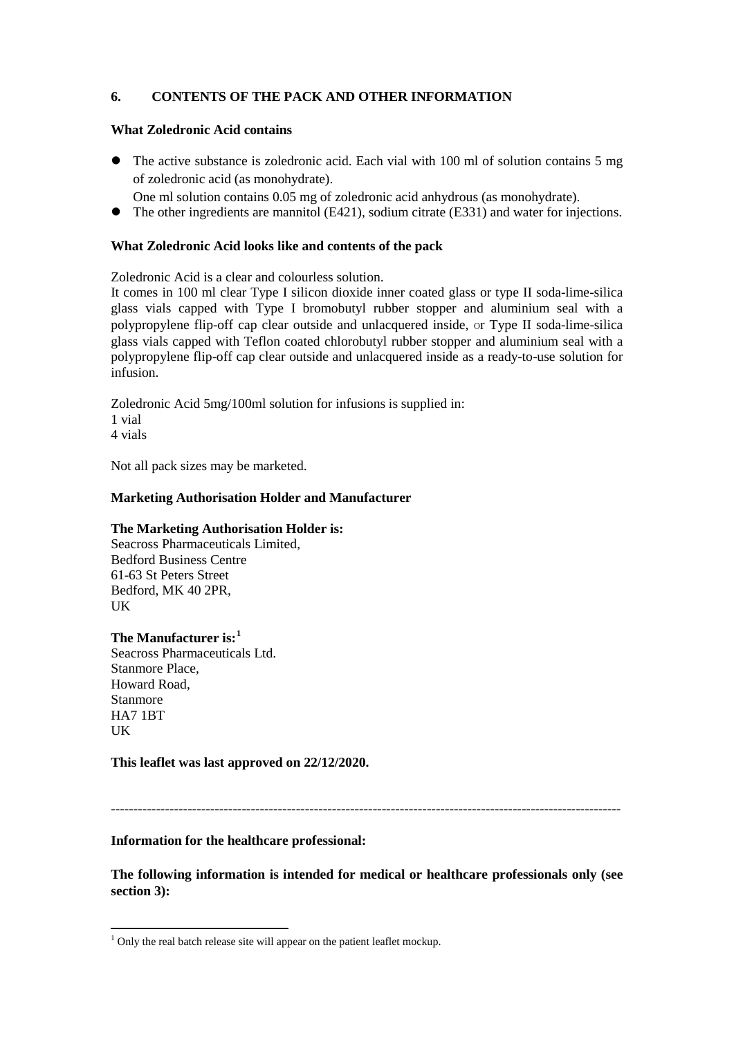# **6. CONTENTS OF THE PACK AND OTHER INFORMATION**

#### **What Zoledronic Acid contains**

- The active substance is zoledronic acid. Each vial with 100 ml of solution contains 5 mg of zoledronic acid (as monohydrate).
	- One ml solution contains 0.05 mg of zoledronic acid anhydrous (as monohydrate).
- The other ingredients are mannitol (E421), sodium citrate (E331) and water for injections.

## **What Zoledronic Acid looks like and contents of the pack**

Zoledronic Acid is a clear and colourless solution.

It comes in 100 ml clear Type I silicon dioxide inner coated glass or type II soda-lime-silica glass vials capped with Type I bromobutyl rubber stopper and aluminium seal with a polypropylene flip-off cap clear outside and unlacquered inside, or Type II soda-lime-silica glass vials capped with Teflon coated chlorobutyl rubber stopper and aluminium seal with a polypropylene flip-off cap clear outside and unlacquered inside as a ready-to-use solution for infusion.

Zoledronic Acid 5mg/100ml solution for infusions is supplied in: 1 vial

4 vials

Not all pack sizes may be marketed.

#### **Marketing Authorisation Holder and Manufacturer**

#### **The Marketing Authorisation Holder is:**

Seacross Pharmaceuticals Limited, Bedford Business Centre 61-63 St Peters Street Bedford, MK 40 2PR, **IK** 

#### **The Manufacturer is:[1](#page-0-0)**

Seacross Pharmaceuticals Ltd. Stanmore Place, Howard Road, Stanmore HA7 1BT **IK** 

**This leaflet was last approved on 22/12/2020.**

# -----------------------------------------------------------------------------------------------------------------

#### **Information for the healthcare professional:**

**The following information is intended for medical or healthcare professionals only (see section 3):**

 $1$  Only the real batch release site will appear on the patient leaflet mockup.